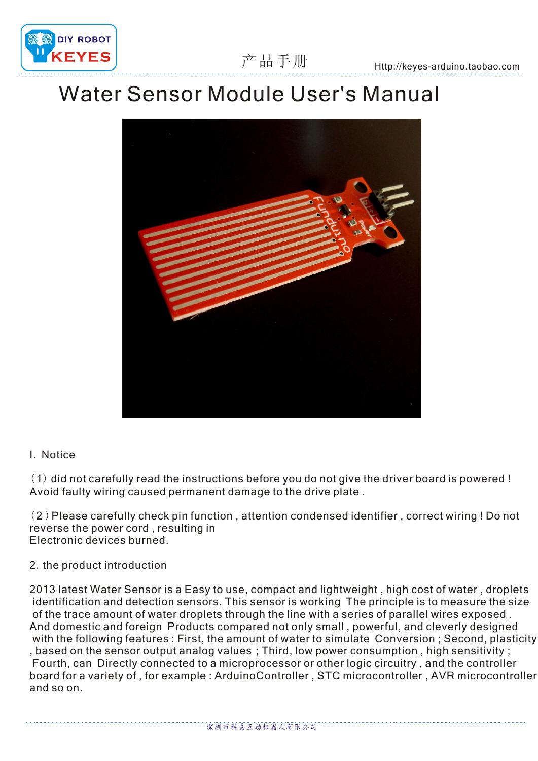

## Water Sensor Module User's Manual



## I. Notice

(1) did not carefully read the instructions before you do not give the driver board is powered ! Avoid faulty wiring caused permanent damage to the drive plate .

(2 )Please carefully check pin function , attention condensed identifier , correct wiring ! Do not reverse the power cord , resulting in Electronic devices burned.

## 2.the product introduction

2013 latest Water Sensor is a Easy to use, compact and lightweight , high cost of water , droplets identification and detection sensors. This sensor is working The principle is to measure the size of the trace amount of water droplets through the line with a series of parallel wires exposed . And domestic and foreign Products compared not only small , powerful, and cleverly designed with the following features : First, the amount of water to simulate Conversion ; Second, plasticity , based on the sensor output analog values ; Third, low power consumption , high sensitivity ; Fourth, can Directly connected to a microprocessor or other logic circuitry , and the controller board for a variety of , for example : ArduinoController , STC microcontroller , AVR microcontroller and so on.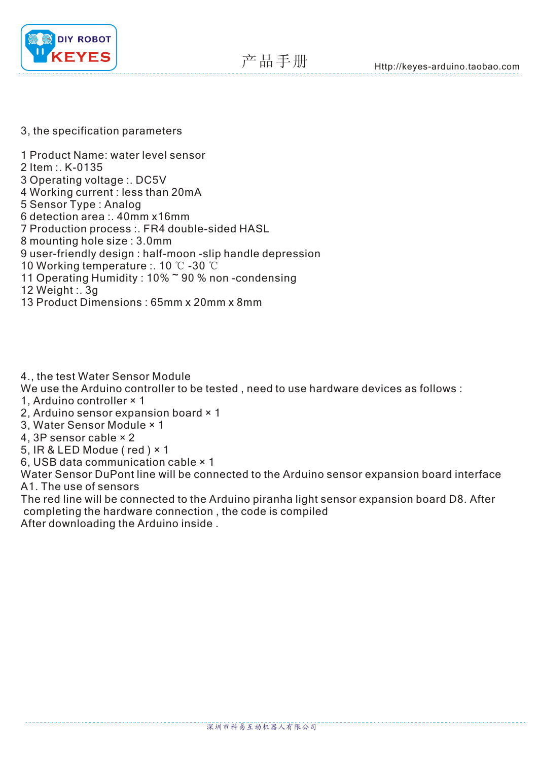

## 3, the specification parameters

1 Product Name: water level sensor 2 Item :. K-0135 3 Operating voltage :. DC5V 4 Working current : less than 20mA 5 Sensor Type : Analog 6 detection area :. 40mm x16mm 7 Production process :. FR4 double-sided HASL 8 mounting hole size : 3.0mm 9 user-friendly design : half-moon -slip handle depression 11 Operating Humidity : 10%~90 % non-condensing 10 Working temperature : . 1  $0^{\circ}$   $\mathbb{C}$  -30  $^{\circ}$   $\mathbb{C}$ 30 ℃ 12 Weight :. 3g

13 Product Dimensions : 65mm x 20mm x 8mm

4., the test Water Sensor Module

We use the Arduino controller to be tested , need to use hardware devices as follows :

- 1, Arduino controller × 1
- 2, Arduino sensor expansion board × 1
- 3, Water Sensor Module × 1
- 4, 3P sensor cable × 2
- 5, IR & LED Modue ( red ) × 1
- 6, USB data communication cable × 1

Water Sensor DuPont line will be connected to the Arduino sensor expansion board interface A1. The use of sensors

The red line will be connected to the Arduino piranha light sensor expansion board D8. After completing the hardware connection , the code is compiled After downloading the Arduino inside .